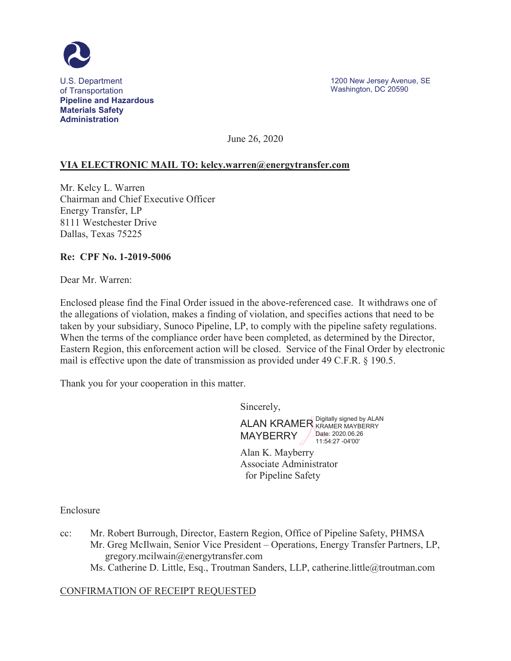

June 26, 2020

## **VIA ELECTRONIC MAIL TO: [kelcy.warren@energytransfer.com](mailto:kelcy.warren@energytransfer.com)**

Mr. Kelcy L. Warren Chairman and Chief Executive Officer Energy Transfer, LP 8111 Westchester Drive Dallas, Texas 75225

### **Re: CPF No. 1-2019-5006**

Dear Mr. Warren:

Enclosed please find the Final Order issued in the above-referenced case. It withdraws one of the allegations of violation, makes a finding of violation, and specifies actions that need to be taken by your subsidiary, Sunoco Pipeline, LP, to comply with the pipeline safety regulations. When the terms of the compliance order have been completed, as determined by the Director, Eastern Region, this enforcement action will be closed. Service of the Final Order by electronic mail is effective upon the date of transmission as provided under 49 C.F.R. § 190.5.

Thank you for your cooperation in this matter.

Sincerely,

ALAN KRAMER Digitally signed by ALAN MAYBERRY **Date: [2020.06.26](https://2020.06.26)** 11:54:27 -04'00'

Alan K. Mayberry Associate Administrator for Pipeline Safety

Enclosure

- cc: Mr. Robert Burrough, Director, Eastern Region, Office of Pipeline Safety, PHMSA Mr. Greg McIlwain, Senior Vice President – Operations, Energy Transfer Partners, LP, [gregory.mcilwain@energytransfer.com](mailto:gregory.mcilwain@energytransfer.com) 
	- Ms. Catherine D. Little, Esq., Troutman Sanders, LLP, [catherine.little@troutman.com](mailto:catherine.little@troutman.com)

## CONFIRMATION OF RECEIPT REQUESTED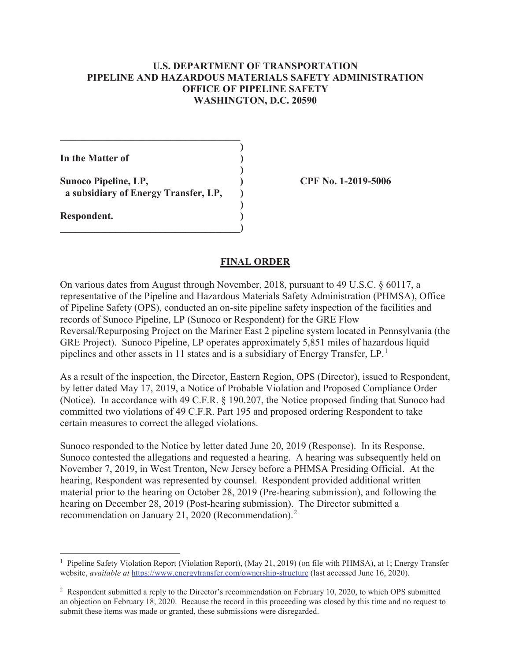## **U.S. DEPARTMENT OF TRANSPORTATION PIPELINE AND HAZARDOUS MATERIALS SAFETY ADMINISTRATION OFFICE OF PIPELINE SAFETY WASHINGTON, D.C. 20590**

**)** 

**)** 

| In the Matter of            |  |
|-----------------------------|--|
|                             |  |
| <b>Sunoco Pipeline, LP,</b> |  |

 $\mathcal{L}=\{1,2,3,4,5\}$ 

 **a subsidiary of Energy Transfer, LP, )** 

**Sunoco Pipeline, LP, ) CPF No. 1-2019-5006**

### **Respondent. ) \_\_\_\_\_\_\_\_\_\_\_\_\_\_\_\_\_\_\_\_\_\_\_\_\_\_\_\_\_\_\_\_\_\_\_\_)**

#### **FINAL ORDER**

On various dates from August through November, 2018, pursuant to 49 U.S.C. § 60117, a representative of the Pipeline and Hazardous Materials Safety Administration (PHMSA), Office of Pipeline Safety (OPS), conducted an on-site pipeline safety inspection of the facilities and records of Sunoco Pipeline, LP (Sunoco or Respondent) for the GRE Flow Reversal/Repurposing Project on the Mariner East 2 pipeline system located in Pennsylvania (the GRE Project). Sunoco Pipeline, LP operates approximately 5,851 miles of hazardous liquid pipelines and other assets in 11 states and is a subsidiary of Energy Transfer, LP.<sup>1</sup>

As a result of the inspection, the Director, Eastern Region, OPS (Director), issued to Respondent, by letter dated May 17, 2019, a Notice of Probable Violation and Proposed Compliance Order (Notice). In accordance with 49 C.F.R. § 190.207, the Notice proposed finding that Sunoco had committed two violations of 49 C.F.R. Part 195 and proposed ordering Respondent to take certain measures to correct the alleged violations.

Sunoco responded to the Notice by letter dated June 20, 2019 (Response). In its Response, Sunoco contested the allegations and requested a hearing. A hearing was subsequently held on November 7, 2019, in West Trenton, New Jersey before a PHMSA Presiding Official. At the hearing, Respondent was represented by counsel. Respondent provided additional written material prior to the hearing on October 28, 2019 (Pre-hearing submission), and following the hearing on December 28, 2019 (Post-hearing submission). The Director submitted a recommendation on January 21, 2020 (Recommendation).<sup>2</sup>

 1 Pipeline Safety Violation Report (Violation Report), (May 21, 2019) (on file with PHMSA), at 1; Energy Transfer website, *available at* <https://www.energytransfer.com/ownership-structure>(last accessed June 16, 2020).

 submit these items was made or granted, these submissions were disregarded. <sup>2</sup> Respondent submitted a reply to the Director's recommendation on February 10, 2020, to which OPS submitted an objection on February 18, 2020. Because the record in this proceeding was closed by this time and no request to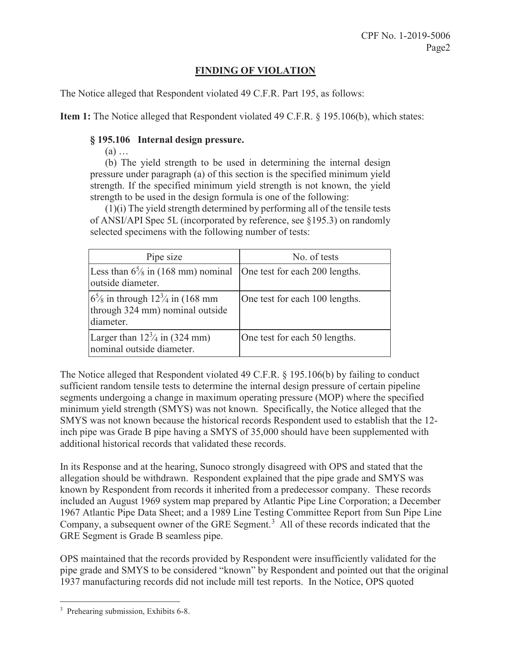# **FINDING OF VIOLATION**

The Notice alleged that Respondent violated 49 C.F.R. Part 195, as follows:

**Item 1:** The Notice alleged that Respondent violated 49 C.F.R. § 195.106(b), which states:

## **§ 195.106 Internal design pressure.**

 $(a)$  ...

 strength. If the specified minimum yield strength is not known, the yield (b) The yield strength to be used in determining the internal design pressure under paragraph (a) of this section is the specified minimum yield strength to be used in the design formula is one of the following:

 of ANSI/API Spec 5L (incorporated by reference, see §195.3) on randomly (1)(i) The yield strength determined by performing all of the tensile tests selected specimens with the following number of tests:

| Pipe size                                                                                             | No. of tests                   |
|-------------------------------------------------------------------------------------------------------|--------------------------------|
| Less than $6\frac{5}{8}$ in (168 mm) nominal<br>outside diameter.                                     | One test for each 200 lengths. |
| $6\frac{5}{8}$ in through $12\frac{3}{4}$ in (168 mm)<br>through 324 mm) nominal outside<br>diameter. | One test for each 100 lengths. |
| Larger than $12\frac{3}{4}$ in (324 mm)<br>nominal outside diameter.                                  | One test for each 50 lengths.  |

The Notice alleged that Respondent violated 49 C.F.R. § 195.106(b) by failing to conduct sufficient random tensile tests to determine the internal design pressure of certain pipeline segments undergoing a change in maximum operating pressure (MOP) where the specified minimum yield strength (SMYS) was not known. Specifically, the Notice alleged that the SMYS was not known because the historical records Respondent used to establish that the 12 inch pipe was Grade B pipe having a SMYS of 35,000 should have been supplemented with additional historical records that validated these records.

In its Response and at the hearing, Sunoco strongly disagreed with OPS and stated that the allegation should be withdrawn. Respondent explained that the pipe grade and SMYS was known by Respondent from records it inherited from a predecessor company. These records included an August 1969 system map prepared by Atlantic Pipe Line Corporation; a December 1967 Atlantic Pipe Data Sheet; and a 1989 Line Testing Committee Report from Sun Pipe Line Company, a subsequent owner of the GRE Segment.<sup>3</sup> All of these records indicated that the GRE Segment is Grade B seamless pipe.

OPS maintained that the records provided by Respondent were insufficiently validated for the pipe grade and SMYS to be considered "known" by Respondent and pointed out that the original 1937 manufacturing records did not include mill test reports. In the Notice, OPS quoted

<sup>3</sup> Prehearing submission, Exhibits 6-8.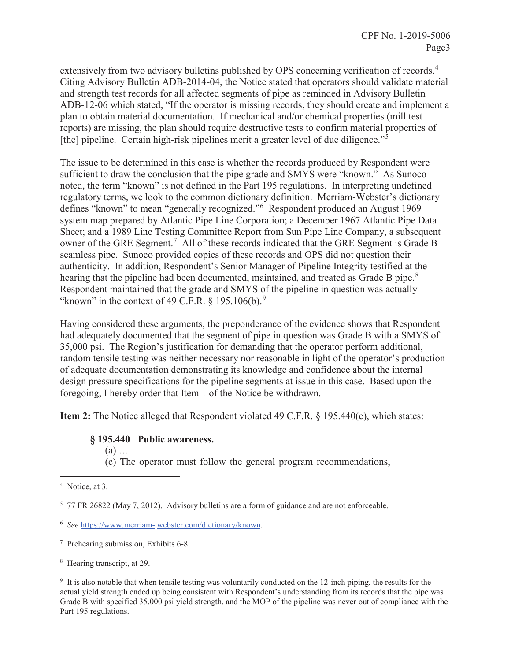<span id="page-3-0"></span>extensively from two advisory bulletins published by OPS concerning verification of records.<sup>4</sup> [the] pipeline. Certain high-risk pipelines merit a greater level of due diligence."<sup>5</sup> Citing Advisory Bulletin ADB-2014-04, the Notice stated that operators should validate material and strength test records for all affected segments of pipe as reminded in Advisory Bulletin ADB-12-06 which stated, "If the operator is missing records, they should create and implement a plan to obtain material documentation. If mechanical and/or chemical properties (mill test reports) are missing, the plan should require destructive tests to confirm material properties of

hearing that the pipeline had been documented, maintained, and treated as Grade B pipe.<sup>8</sup> "known" in the context of 49 C.F.R.  $\S$  195.106(b).<sup>9</sup> The issue to be determined in this case is whether the records produced by Respondent were sufficient to draw the conclusion that the pipe grade and SMYS were "known." As Sunoco noted, the term "known" is not defined in the Part 195 regulations. In interpreting undefined regulatory terms, we look to the common dictionary definition. Merriam-Webster's dictionary defines "known" to mean "generally recognized."<sup>6</sup> Respondent produced an August 1969 system map prepared by Atlantic Pipe Line Corporation; a December 1967 Atlantic Pipe Data Sheet; and a 1989 Line Testing Committee Report from Sun Pipe Line Company, a subsequent owner of the GRE Segment.<sup>7</sup> All of these records indicated that the GRE Segment is Grade B seamless pipe. Sunoco provided copies of these records and OPS did not question their authenticity. In addition, Respondent's Senior Manager of Pipeline Integrity testified at the Respondent maintained that the grade and SMYS of the pipeline in question was actually

Having considered these arguments, the preponderance of the evidence shows that Respondent had adequately documented that the segment of pipe in question was Grade B with a SMYS of 35,000 psi. The Region's justification for demanding that the operator perform additional, random tensile testing was neither necessary nor reasonable in light of the operator's production of adequate documentation demonstrating its knowledge and confidence about the internal design pressure specifications for the pipeline segments at issue in this case. Based upon the foregoing, I hereby order that Item 1 of the Notice be withdrawn.

**Item 2:** The Notice alleged that Respondent violated 49 C.F.R. § 195.440(c), which states:

### **§ 195.440 Public awareness.**

 $(a)$  ...

(c) The operator must follow the general program recommendations,

<sup>&</sup>lt;sup>4</sup> Notice, at 3.

<sup>5</sup> 77 FR 26822 (May 7, 2012). Advisory bulletins are a form of guidance and are not enforceable.

 <sup>6</sup>*See* [https://www.merriam-](https://www.merriam) [webster.com/dictionary/known](https://webster.com/dictionary/known).

<sup>7</sup> Prehearing submission, Exhibits 6-8.

<sup>8</sup> Hearing transcript, at 29.

 actual yield strength ended up being consistent with Respondent's understanding from its records that the pipe was <sup>9</sup> It is also notable that when tensile testing was voluntarily conducted on the 12-inch piping, the results for the Grade B with specified 35,000 psi yield strength, and the MOP of the pipeline was never out of compliance with the Part 195 regulations.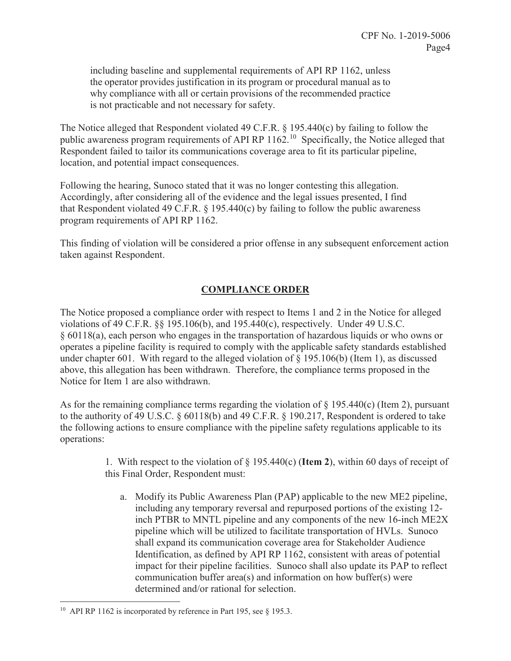including baseline and supplemental requirements of API RP 1162, unless the operator provides justification in its program or procedural manual as to why compliance with all or certain provisions of the recommended practice is not practicable and not necessary for safety.

The Notice alleged that Respondent violated 49 C.F.R. § 195.440(c) by failing to follow the public awareness program requirements of API RP 1162.10 Specifically, the Notice alleged that Respondent failed to tailor its communications coverage area to fit its particular pipeline, location, and potential impact consequences.

 Accordingly, after considering all of the evidence and the legal issues presented, I find Following the hearing, Sunoco stated that it was no longer contesting this allegation. that Respondent violated 49 C.F.R.  $\S$  195.440(c) by failing to follow the public awareness program requirements of API RP 1162.

This finding of violation will be considered a prior offense in any subsequent enforcement action taken against Respondent.

# **COMPLIANCE ORDER**

The Notice proposed a compliance order with respect to Items 1 and 2 in the Notice for alleged violations of 49 C.F.R. §§ 195.106(b), and 195.440(c), respectively. Under 49 U.S.C. § 60118(a), each person who engages in the transportation of hazardous liquids or who owns or operates a pipeline facility is required to comply with the applicable safety standards established under chapter 601. With regard to the alleged violation of  $\S$  195.106(b) (Item 1), as discussed above, this allegation has been withdrawn. Therefore, the compliance terms proposed in the Notice for Item 1 are also withdrawn.

As for the remaining compliance terms regarding the violation of  $\S$  195.440(c) (Item 2), pursuant to the authority of 49 U.S.C. § 60118(b) and 49 C.F.R. § 190.217, Respondent is ordered to take the following actions to ensure compliance with the pipeline safety regulations applicable to its operations:

> 1. With respect to the violation of § 195.440(c) (**Item 2**), within 60 days of receipt of this Final Order, Respondent must:

a. Modify its Public Awareness Plan (PAP) applicable to the new ME2 pipeline, including any temporary reversal and repurposed portions of the existing 12 inch PTBR to MNTL pipeline and any components of the new 16-inch ME2X pipeline which will be utilized to facilitate transportation of HVLs. Sunoco shall expand its communication coverage area for Stakeholder Audience Identification, as defined by API RP 1162, consistent with areas of potential impact for their pipeline facilities. Sunoco shall also update its PAP to reflect communication buffer area(s) and information on how buffer(s) were determined and/or rational for selection.

<sup>&</sup>lt;sup>10</sup> API RP 1162 is incorporated by reference in Part 195, see  $\S$  195.3.